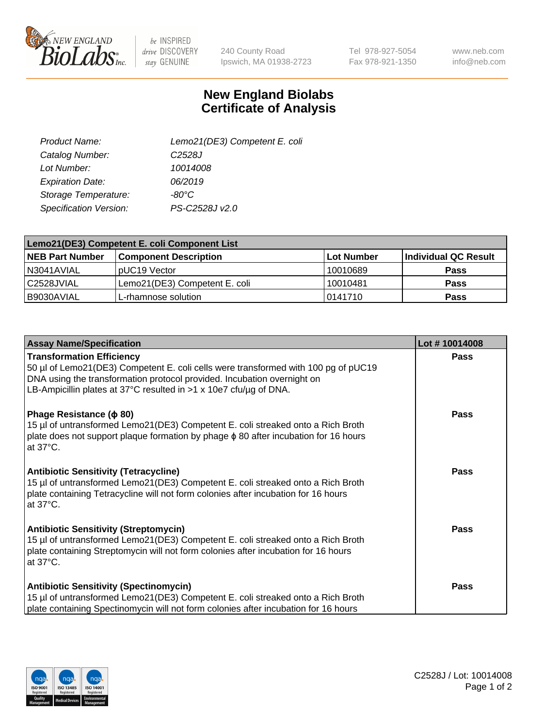

 $be$  INSPIRED drive DISCOVERY stay GENUINE

240 County Road Ipswich, MA 01938-2723 Tel 978-927-5054 Fax 978-921-1350

www.neb.com info@neb.com

## **New England Biolabs Certificate of Analysis**

| Lemo21(DE3) Competent E. coli |
|-------------------------------|
| C <sub>2528</sub> J           |
| 10014008                      |
| 06/2019                       |
| -80°C                         |
| PS-C2528J v2.0                |
|                               |

| Lemo21(DE3) Competent E. coli Component List |                               |                   |                      |  |
|----------------------------------------------|-------------------------------|-------------------|----------------------|--|
| <b>NEB Part Number</b>                       | <b>Component Description</b>  | <b>Lot Number</b> | Individual QC Result |  |
| I N3041AVIAL                                 | IpUC19 Vector                 | 10010689          | <b>Pass</b>          |  |
| C2528JVIAL                                   | Lemo21(DE3) Competent E. coli | 10010481          | <b>Pass</b>          |  |
| B9030AVIAL                                   | L-rhamnose solution           | 10141710          | <b>Pass</b>          |  |

| <b>Assay Name/Specification</b>                                                                                                                                                                                                                                          | Lot #10014008 |
|--------------------------------------------------------------------------------------------------------------------------------------------------------------------------------------------------------------------------------------------------------------------------|---------------|
| <b>Transformation Efficiency</b><br>50 µl of Lemo21(DE3) Competent E. coli cells were transformed with 100 pg of pUC19<br>DNA using the transformation protocol provided. Incubation overnight on<br>LB-Ampicillin plates at 37°C resulted in $>1$ x 10e7 cfu/ug of DNA. | Pass          |
| Phage Resistance ( $\phi$ 80)<br>15 µl of untransformed Lemo21(DE3) Competent E. coli streaked onto a Rich Broth<br>plate does not support plaque formation by phage $\phi$ 80 after incubation for 16 hours<br>at $37^{\circ}$ C.                                       | Pass          |
| <b>Antibiotic Sensitivity (Tetracycline)</b><br>15 µl of untransformed Lemo21(DE3) Competent E. coli streaked onto a Rich Broth<br>plate containing Tetracycline will not form colonies after incubation for 16 hours<br>at 37°C.                                        | Pass          |
| <b>Antibiotic Sensitivity (Streptomycin)</b><br>15 µl of untransformed Lemo21(DE3) Competent E. coli streaked onto a Rich Broth<br>plate containing Streptomycin will not form colonies after incubation for 16 hours<br>at 37°C.                                        | Pass          |
| <b>Antibiotic Sensitivity (Spectinomycin)</b><br>15 µl of untransformed Lemo21(DE3) Competent E. coli streaked onto a Rich Broth<br>plate containing Spectinomycin will not form colonies after incubation for 16 hours                                                  | Pass          |